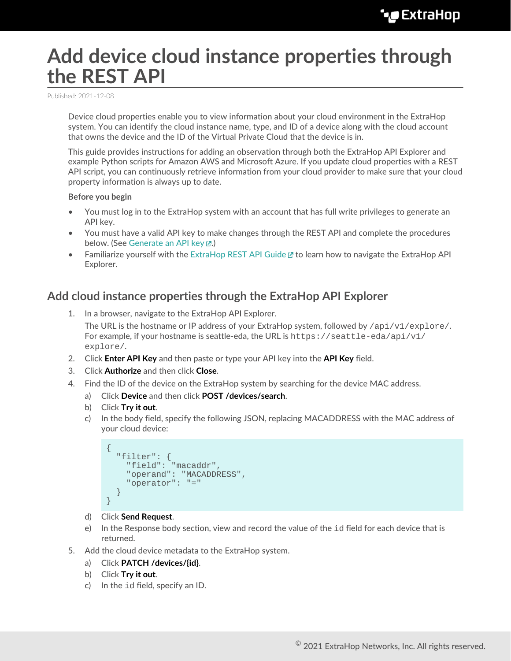# **Add device cloud instance properties through the REST API**

Published: 2021-12-08

Device cloud properties enable you to view information about your cloud environment in the ExtraHop system. You can identify the cloud instance name, type, and ID of a device along with the cloud account that owns the device and the ID of the Virtual Private Cloud that the device is in.

This guide provides instructions for adding an observation through both the ExtraHop API Explorer and example Python scripts for Amazon AWS and Microsoft Azure. If you update cloud properties with a REST API script, you can continuously retrieve information from your cloud provider to make sure that your cloud property information is always up to date.

#### **Before you begin**

- You must log in to the ExtraHop system with an account that has full write privileges to generate an API key.
- You must have a valid API key to make changes through the REST API and complete the procedures below. (See [Generate an API key](https://docs.extrahop.com/8.7/rest-api-guide/#generate-an-api-key) ...)
- Familiarize yourself with the [ExtraHop REST API Guide](https://docs.extrahop.com/8.7/rest-api-guide) Extra how to navigate the ExtraHop API Explorer.

### **Add cloud instance properties through the ExtraHop API Explorer**

1. In a browser, navigate to the ExtraHop API Explorer.

The URL is the hostname or IP address of your ExtraHop system, followed by  $\pi$ i/v1/explore/. For example, if your hostname is seattle-eda, the URL is  $h$ thes://seattle-eda/api/v1/ explore/.

- 2. Click **Enter API Key** and then paste or type your API key into the **API Key** field.
- 3. Click **Authorize** and then click **Close**.
- 4. Find the ID of the device on the ExtraHop system by searching for the device MAC address.
	- a) Click **Device** and then click **POST /devices/search**.
	- b) Click **Try it out**.
	- c) In the body field, specify the following JSON, replacing MACADDRESS with the MAC address of your cloud device:

```
{
   "filter": {
    "field": "macaddr",
    "operand": "MACADDRESS",
     "operator": "="
   }
}
```
- d) Click **Send Request**.
- e) In the Response body section, view and record the value of the  $id$  field for each device that is returned.
- 5. Add the cloud device metadata to the ExtraHop system.
	- a) Click **PATCH /devices/{id}**.
	- b) Click **Try it out**.
	- c) In the id field, specify an ID.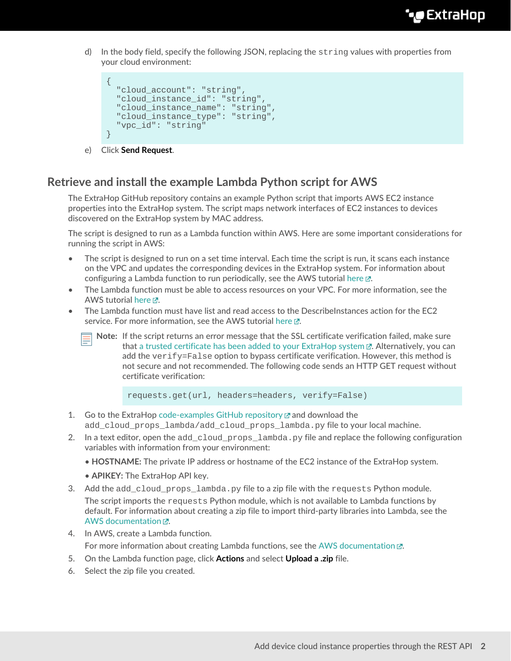d) In the body field, specify the following JSON, replacing the  $string$  values with properties from your cloud environment:

```
{
  "cloud_account": "string",
  "cloud_instance_id": "string",
  "cloud_instance_name": "string",
  "cloud_instance_type": "string",
  "vpc_id": "string"
}
```
e) Click **Send Request**.

# **Retrieve and install the example Lambda Python script for AWS**

The ExtraHop GitHub repository contains an example Python script that imports AWS EC2 instance properties into the ExtraHop system. The script maps network interfaces of EC2 instances to devices discovered on the ExtraHop system by MAC address.

The script is designed to run as a Lambda function within AWS. Here are some important considerations for running the script in AWS:

- The script is designed to run on a set time interval. Each time the script is run, it scans each instance on the VPC and updates the corresponding devices in the ExtraHop system. For information about configuring a Lambda function to run periodically, see the AWS tutorial [here](https://docs.aws.amazon.com/AmazonCloudWatch/latest/events/RunLambdaSchedule.html)  $\mathbb{Z}$ .
- The Lambda function must be able to access resources on your VPC. For more information, see the AWS tutorial [here](https://docs.aws.amazon.com/lambda/latest/dg/configuration-vpc.html)  $\mathbb{Z}$ .
- The Lambda function must have list and read access to the DescribeInstances action for the EC2 service. For more information, see the AWS tutorial here  $\mathbb{Z}$ .
	- **Note:** If the script returns an error message that the SSL certificate verification failed, make sure that [a trusted certificate has been added to your ExtraHop system](https://docs.extrahop.com/8.7/eh-admin-ui-guide/#ssl-certificate)  $\mathbb{Z}$ . Alternatively, you can add the verify=False option to bypass certificate verification. However, this method is not secure and not recommended. The following code sends an HTTP GET request without certificate verification:

requests.get(url, headers=headers, verify=False)

- 1. Go to the ExtraHop [code-examples GitHub repository](https://github.com/ExtraHop/code-examples)  $\mathbb Z$  and download the add\_cloud\_props\_lambda/add\_cloud\_props\_lambda.py file to your local machine.
- 2. In a text editor, open the add cloud props lambda.py file and replace the following configuration variables with information from your environment:
	- **HOSTNAME:** The private IP address or hostname of the EC2 instance of the ExtraHop system.
	- **APIKEY:** The ExtraHop API key.
- 3. Add the add cloud props lambda.py file to a zip file with the requests Python module. The script imports the requests Python module, which is not available to Lambda functions by default. For information about creating a zip file to import third-party libraries into Lambda, see the AWS documentation  $\mathbb{Z}$ .
- 4. In AWS, create a Lambda function. For more information about creating Lambda functions, see the [AWS documentation](https://docs.aws.amazon.com/lambda/latest/dg/getting-started-create-function.html)  $\mathbb{E}$ .
- 5. On the Lambda function page, click **Actions** and select **Upload a .zip** file.
- 6. Select the zip file you created.